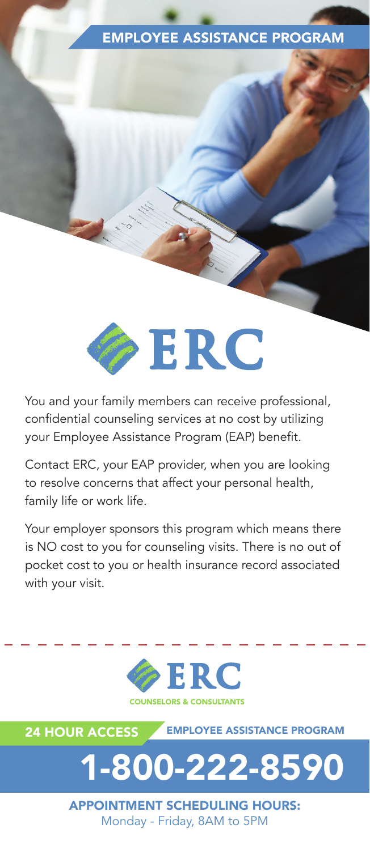## EMPLOYEE ASSISTANCE PROGRAM



You and your family members can receive professional, confidential counseling services at no cost by utilizing your Employee Assistance Program (EAP) benefit.

Contact ERC, your EAP provider, when you are looking to resolve concerns that affect your personal health, family life or work life.

Your employer sponsors this program which means there is NO cost to you for counseling visits. There is no out of pocket cost to you or health insurance record associated with your visit.





Monday - Friday, 8AM to 5PM